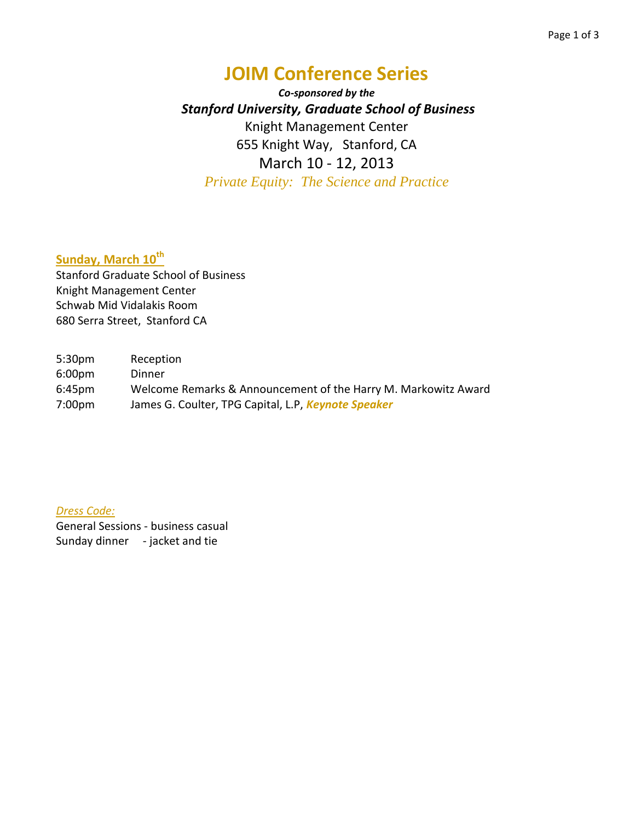# **JOIM Conference Series**

*Co-sponsored by the Stanford University, Graduate School of Business* Knight Management Center 655 Knight Way, Stanford, CA March 10 - 12, 2013 *Private Equity: The Science and Practice*

## **Sunday, March 10th**

Stanford Graduate School of Business Knight Management Center Schwab Mid Vidalakis Room 680 Serra Street, Stanford CA

5:30pm Reception 6:00pm Dinner 6:45pm Welcome Remarks & Announcement of the Harry M. Markowitz Award 7:00pm James G. Coulter, TPG Capital, L.P, *Keynote Speaker*

*Dress Code:*

General Sessions - business casual Sunday dinner - jacket and tie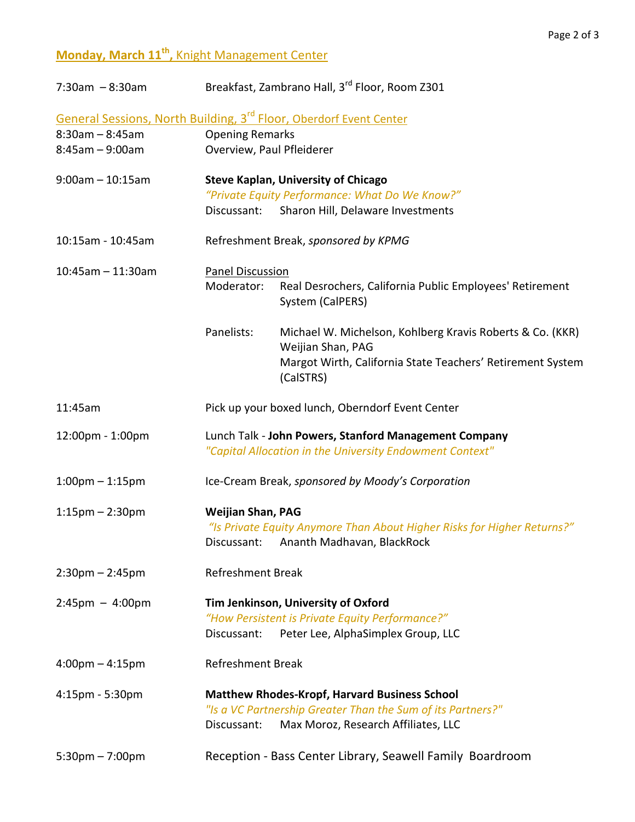#### Page 2 of 3

## **Monday, March 11th ,** Knight Management Center

| $7:30am - 8:30am$                                                              | Breakfast, Zambrano Hall, 3 <sup>rd</sup> Floor, Room Z301                                                          |                                                                                                                   |  |
|--------------------------------------------------------------------------------|---------------------------------------------------------------------------------------------------------------------|-------------------------------------------------------------------------------------------------------------------|--|
| General Sessions, North Building, 3 <sup>rd</sup> Floor, Oberdorf Event Center |                                                                                                                     |                                                                                                                   |  |
| $8:30am - 8:45am$                                                              | <b>Opening Remarks</b>                                                                                              |                                                                                                                   |  |
| $8:45am - 9:00am$                                                              | Overview, Paul Pfleiderer                                                                                           |                                                                                                                   |  |
| $9:00$ am - 10:15am                                                            | <b>Steve Kaplan, University of Chicago</b>                                                                          |                                                                                                                   |  |
|                                                                                |                                                                                                                     | "Private Equity Performance: What Do We Know?"                                                                    |  |
|                                                                                | Discussant:                                                                                                         | Sharon Hill, Delaware Investments                                                                                 |  |
| 10:15am - 10:45am                                                              | Refreshment Break, sponsored by KPMG                                                                                |                                                                                                                   |  |
| $10:45$ am - 11:30am                                                           | <b>Panel Discussion</b>                                                                                             |                                                                                                                   |  |
|                                                                                | Moderator:                                                                                                          | Real Desrochers, California Public Employees' Retirement<br>System (CalPERS)                                      |  |
|                                                                                | Panelists:                                                                                                          | Michael W. Michelson, Kohlberg Kravis Roberts & Co. (KKR)<br>Weijian Shan, PAG                                    |  |
|                                                                                |                                                                                                                     | Margot Wirth, California State Teachers' Retirement System<br>(CalSTRS)                                           |  |
| 11:45am                                                                        | Pick up your boxed lunch, Oberndorf Event Center                                                                    |                                                                                                                   |  |
| 12:00pm - 1:00pm                                                               | Lunch Talk - John Powers, Stanford Management Company<br>"Capital Allocation in the University Endowment Context"   |                                                                                                                   |  |
| $1:00$ pm $-1:15$ pm                                                           | Ice-Cream Break, sponsored by Moody's Corporation                                                                   |                                                                                                                   |  |
| $1:15$ pm $- 2:30$ pm                                                          | <b>Weijian Shan, PAG</b>                                                                                            |                                                                                                                   |  |
|                                                                                |                                                                                                                     | "Is Private Equity Anymore Than About Higher Risks for Higher Returns?"<br>Discussant: Ananth Madhavan, BlackRock |  |
| $2:30$ pm $- 2:45$ pm                                                          | <b>Refreshment Break</b>                                                                                            |                                                                                                                   |  |
| $2:45 \text{pm} - 4:00 \text{pm}$                                              | Tim Jenkinson, University of Oxford                                                                                 |                                                                                                                   |  |
|                                                                                | Discussant:                                                                                                         | "How Persistent is Private Equity Performance?"<br>Peter Lee, AlphaSimplex Group, LLC                             |  |
| $4:00$ pm $-4:15$ pm                                                           | <b>Refreshment Break</b>                                                                                            |                                                                                                                   |  |
| 4:15pm - 5:30pm                                                                | <b>Matthew Rhodes-Kropf, Harvard Business School</b><br>"Is a VC Partnership Greater Than the Sum of its Partners?" |                                                                                                                   |  |
|                                                                                | Discussant:                                                                                                         | Max Moroz, Research Affiliates, LLC                                                                               |  |
| $5:30$ pm $-7:00$ pm                                                           |                                                                                                                     | Reception - Bass Center Library, Seawell Family Boardroom                                                         |  |